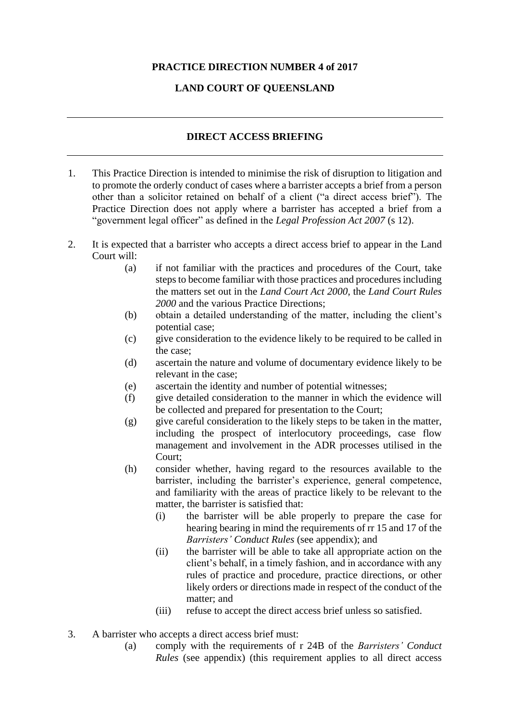## **PRACTICE DIRECTION NUMBER 4 of 2017**

## **LAND COURT OF QUEENSLAND**

## **DIRECT ACCESS BRIEFING**

- 1. This Practice Direction is intended to minimise the risk of disruption to litigation and to promote the orderly conduct of cases where a barrister accepts a brief from a person other than a solicitor retained on behalf of a client ("a direct access brief"). The Practice Direction does not apply where a barrister has accepted a brief from a "government legal officer" as defined in the *Legal Profession Act 2007* (s 12).
- 2. It is expected that a barrister who accepts a direct access brief to appear in the Land Court will:
	- (a) if not familiar with the practices and procedures of the Court, take steps to become familiar with those practices and procedures including the matters set out in the *Land Court Act 2000*, the *Land Court Rules 2000* and the various Practice Directions;
	- (b) obtain a detailed understanding of the matter, including the client's potential case;
	- (c) give consideration to the evidence likely to be required to be called in the case;
	- (d) ascertain the nature and volume of documentary evidence likely to be relevant in the case;
	- (e) ascertain the identity and number of potential witnesses;
	- (f) give detailed consideration to the manner in which the evidence will be collected and prepared for presentation to the Court;
	- (g) give careful consideration to the likely steps to be taken in the matter, including the prospect of interlocutory proceedings, case flow management and involvement in the ADR processes utilised in the Court;
	- (h) consider whether, having regard to the resources available to the barrister, including the barrister's experience, general competence, and familiarity with the areas of practice likely to be relevant to the matter, the barrister is satisfied that:
		- (i) the barrister will be able properly to prepare the case for hearing bearing in mind the requirements of rr 15 and 17 of the *Barristers' Conduct Rules* (see appendix); and
		- (ii) the barrister will be able to take all appropriate action on the client's behalf, in a timely fashion, and in accordance with any rules of practice and procedure, practice directions, or other likely orders or directions made in respect of the conduct of the matter; and
		- (iii) refuse to accept the direct access brief unless so satisfied.
- 3. A barrister who accepts a direct access brief must:
	- (a) comply with the requirements of r 24B of the *Barristers' Conduct Rules* (see appendix) (this requirement applies to all direct access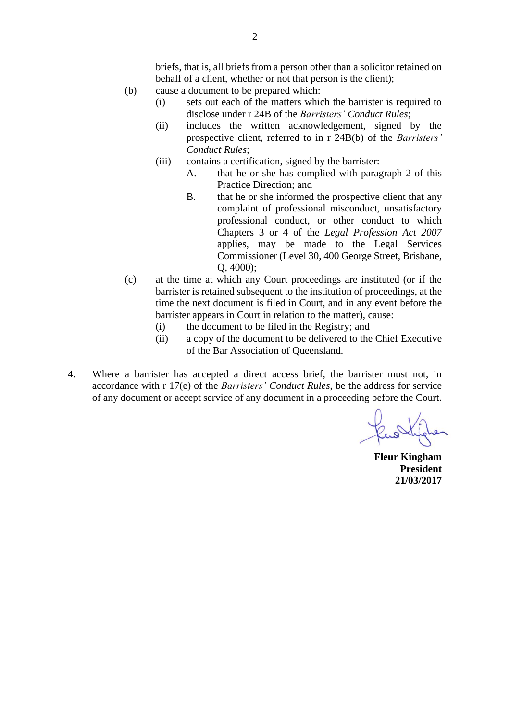briefs, that is, all briefs from a person other than a solicitor retained on behalf of a client, whether or not that person is the client);

- (b) cause a document to be prepared which:
	- (i) sets out each of the matters which the barrister is required to disclose under r 24B of the *Barristers' Conduct Rules*;
	- (ii) includes the written acknowledgement, signed by the prospective client, referred to in r 24B(b) of the *Barristers' Conduct Rules*;
	- (iii) contains a certification, signed by the barrister:
		- A. that he or she has complied with paragraph 2 of this Practice Direction; and
		- B. that he or she informed the prospective client that any complaint of professional misconduct, unsatisfactory professional conduct, or other conduct to which Chapters 3 or 4 of the *Legal Profession Act 2007* applies, may be made to the Legal Services Commissioner (Level 30, 400 George Street, Brisbane, Q, 4000);
- (c) at the time at which any Court proceedings are instituted (or if the barrister is retained subsequent to the institution of proceedings, at the time the next document is filed in Court, and in any event before the barrister appears in Court in relation to the matter), cause:
	- (i) the document to be filed in the Registry; and
	- (ii) a copy of the document to be delivered to the Chief Executive of the Bar Association of Queensland.
- 4. Where a barrister has accepted a direct access brief, the barrister must not, in accordance with r 17(e) of the *Barristers' Conduct Rules*, be the address for service of any document or accept service of any document in a proceeding before the Court.

**Fleur Kingham President 21/03/2017**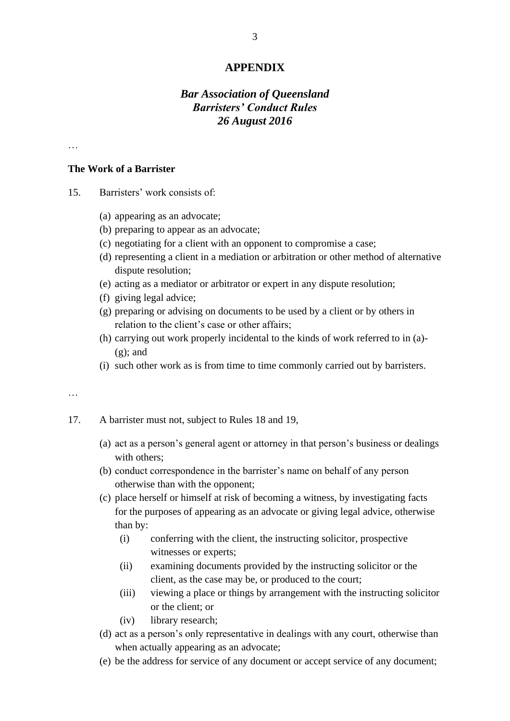### **APPENDIX**

# *Bar Association of Queensland Barristers' Conduct Rules 26 August 2016*

…

#### **The Work of a Barrister**

- 15. Barristers' work consists of:
	- (a) appearing as an advocate;
	- (b) preparing to appear as an advocate;
	- (c) negotiating for a client with an opponent to compromise a case;
	- (d) representing a client in a mediation or arbitration or other method of alternative dispute resolution;
	- (e) acting as a mediator or arbitrator or expert in any dispute resolution;
	- (f) giving legal advice;
	- (g) preparing or advising on documents to be used by a client or by others in relation to the client's case or other affairs;
	- (h) carrying out work properly incidental to the kinds of work referred to in (a)-  $(g)$ ; and
	- (i) such other work as is from time to time commonly carried out by barristers.

…

- 17. A barrister must not, subject to Rules 18 and 19,
	- (a) act as a person's general agent or attorney in that person's business or dealings with others:
	- (b) conduct correspondence in the barrister's name on behalf of any person otherwise than with the opponent;
	- (c) place herself or himself at risk of becoming a witness, by investigating facts for the purposes of appearing as an advocate or giving legal advice, otherwise than by:
		- (i) conferring with the client, the instructing solicitor, prospective witnesses or experts;
		- (ii) examining documents provided by the instructing solicitor or the client, as the case may be, or produced to the court;
		- (iii) viewing a place or things by arrangement with the instructing solicitor or the client; or
		- (iv) library research;
	- (d) act as a person's only representative in dealings with any court, otherwise than when actually appearing as an advocate;
	- (e) be the address for service of any document or accept service of any document;